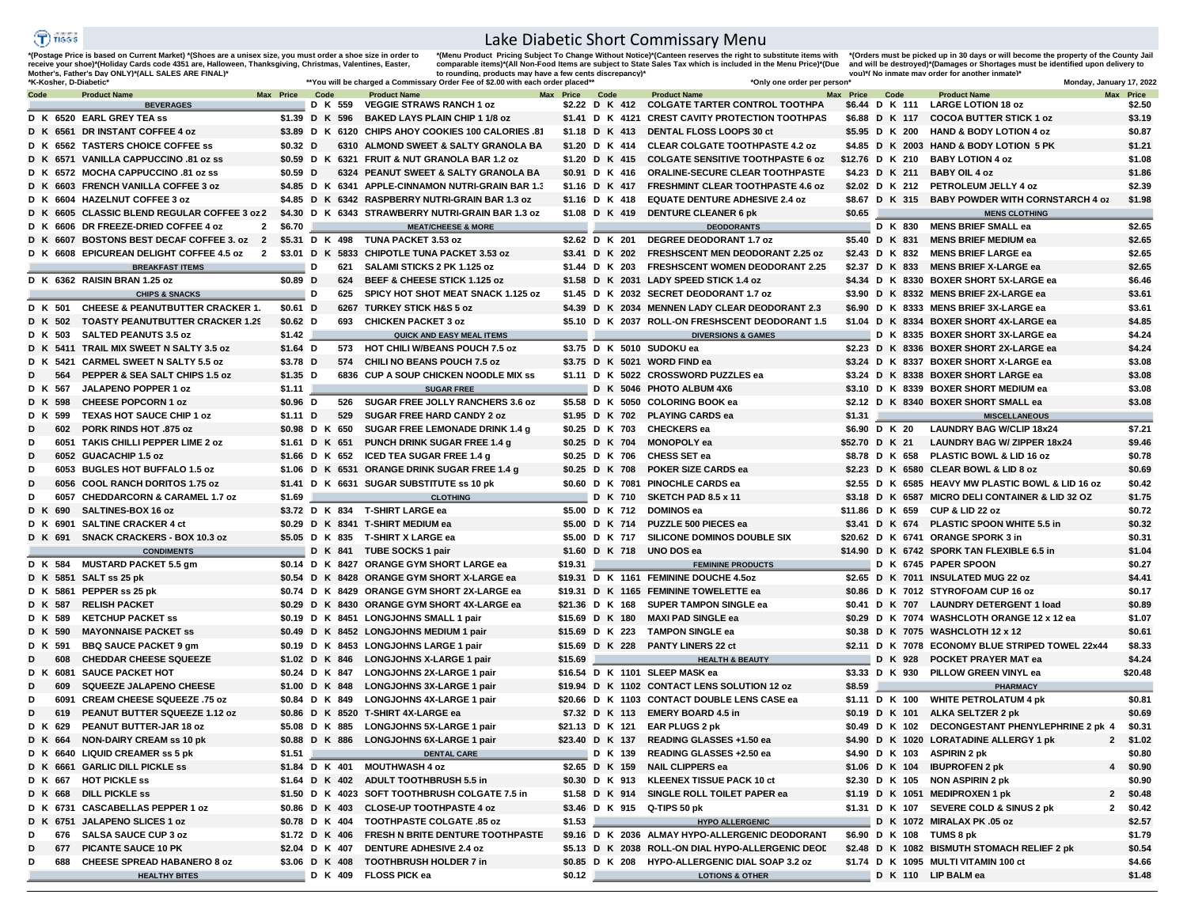## $\widehat{T}$ ) risss

## Lake Diabetic Short Commissary Menu

'(Postage Price is based on Current Market) '(Shoes are a unisex size, you must order a shoe size in order to<br>receive your shoe)'(Holiday Cards code 4351 are, Halloween, Thanksgiving, Christmas, Valentines, Easter,<br>Mothe

"(Menu Product Pricing Subject To Change Without Notice)"(Canteen reserves the right to substitute items with<br>comparable items)"(All Non-Food Items are subject to State Sales Tax which is included in the Menu Price)"(Due<br>

"(Orders must be picked up in 30 days or will become the property of the County Jail<br>and will be destroyed)"(Damages or Shortages must be identified upon delivery to<br>vou)"( No inmate mav order for another inmate)"

| *K-Kosher. D-Diabetic' |                                                                                                |                |   |         | **You will be charged a Commissary Order Fee of \$2.00 with each order placed* |                 |      |         | *Only one order per person'                               |                |                | Monday, January 17, 2022                          |           |          |
|------------------------|------------------------------------------------------------------------------------------------|----------------|---|---------|--------------------------------------------------------------------------------|-----------------|------|---------|-----------------------------------------------------------|----------------|----------------|---------------------------------------------------|-----------|----------|
| Code                   | <b>Product Name</b>                                                                            | Max Price Code |   |         | <b>Product Name</b>                                                            | Max Price       | Code |         | <b>Product Name</b>                                       | Max Price Code |                | <b>Product Name</b>                               | Max Price |          |
|                        | <b>BEVERAGES</b>                                                                               |                |   | D K 559 | <b>VEGGIE STRAWS RANCH 1 oz</b>                                                | \$2.22 D K 412  |      |         | <b>COLGATE TARTER CONTROL TOOTHPA</b>                     |                | \$6.44 D K 111 | <b>LARGE LOTION 18 oz</b>                         |           | \$2.50   |
|                        | D K 6520 EARL GREY TEA ss                                                                      |                |   |         | \$1.39 D K 596 BAKED LAYS PLAIN CHIP 1 1/8 oz                                  |                 |      |         | \$1.41 D K 4121 CREST CAVITY PROTECTION TOOTHPAS          |                |                | \$6.88 D K 117 COCOA BUTTER STICK 1 oz            |           | \$3.19   |
|                        | D K 6561 DR INSTANT COFFEE 4 oz                                                                |                |   |         | \$3.89 D K 6120 CHIPS AHOY COOKIES 100 CALORIES .81                            | \$1.18 D K 413  |      |         | DENTAL FLOSS LOOPS 30 ct                                  |                |                | \$5.95 D K 200 HAND & BODY LOTION 4 oz            |           | \$0.87   |
|                        | D K 6562 TASTERS CHOICE COFFEE SS                                                              | $$0.32$ D      |   |         | 6310 ALMOND SWEET & SALTY GRANOLA BA                                           | \$1.20 D K 414  |      |         | <b>CLEAR COLGATE TOOTHPASTE 4.2 oz</b>                    |                |                | \$4.85 D K 2003 HAND & BODY LOTION 5 PK           |           | \$1.21   |
|                        | D K 6571 VANILLA CAPPUCCINO 81 oz ss                                                           |                |   |         | \$0.59 D K 6321 FRUIT & NUT GRANOLA BAR 1.2 oz                                 | \$1.20 D K 415  |      |         | <b>COLGATE SENSITIVE TOOTHPASTE 6 oz</b>                  |                |                | \$12.76 D K 210 BABY LOTION 4 oz                  |           | \$1.08   |
|                        | D K 6572 MOCHA CAPPUCCINO .81 oz ss                                                            | $$0.59$ D      |   |         | 6324 PEANUT SWEET & SALTY GRANOLA BA                                           | \$0.91 D K 416  |      |         | ORALINE-SECURE CLEAR TOOTHPASTE                           |                |                | \$4.23 D K 211 BABY OIL 4 oz                      |           | \$1.86   |
|                        | D K 6603 FRENCH VANILLA COFFEE 3 oz                                                            |                |   |         | \$4.85 D K 6341 APPLE-CINNAMON NUTRI-GRAIN BAR 1.3                             | \$1.16 D K 417  |      |         | <b>FRESHMINT CLEAR TOOTHPASTE 4.6 oz</b>                  |                |                | \$2.02 D K 212 PETROLEUM JELLY 4 oz               |           | \$2.39   |
|                        | D K 6604 HAZELNUT COFFEE 3 oz                                                                  |                |   |         | \$4.85 D K 6342 RASPBERRY NUTRI-GRAIN BAR 1.3 oz                               | \$1.16 D K 418  |      |         | <b>EQUATE DENTURE ADHESIVE 2.4 oz</b>                     |                |                | \$8.67 D K 315 BABY POWDER WITH CORNSTARCH 4 oz   |           | \$1.98   |
|                        | D K 6605 CLASSIC BLEND REGULAR COFFEE 3 oz 2 \$4.30 D K 6343 STRAWBERRY NUTRI-GRAIN BAR 1.3 oz |                |   |         |                                                                                | \$1.08 D K 419  |      |         | <b>DENTURE CLEANER 6 pk</b>                               | \$0.65         |                | <b>MENS CLOTHING</b>                              |           |          |
|                        | D K 6606 DR FREEZE-DRIED COFFEE 4 oz                                                           | 2 \$6.70       |   |         | <b>MEAT/CHEESE &amp; MORE</b>                                                  |                 |      |         | <b>DEODORANTS</b>                                         |                |                | D K 830 MENS BRIEF SMALL ea                       |           | \$2.65   |
|                        | D K 6607 BOSTONS BEST DECAF COFFEE 3. oz 2 \$5.31 D K 498 TUNA PACKET 3.53 oz                  |                |   |         |                                                                                | \$2.62 D K 201  |      |         | <b>DEGREE DEODORANT 1.7 oz</b>                            |                |                | \$5.40 D K 831 MENS BRIEF MEDIUM ea               |           | \$2.65   |
|                        | D K 6608 EPICUREAN DELIGHT COFFEE 4.5 oz 2                                                     |                |   |         | \$3.01 D K 5833 CHIPOTLE TUNA PACKET 3.53 oz                                   |                 |      |         | \$3.41 D K 202 FRESHSCENT MEN DEODORANT 2.25 oz           |                |                | \$2.43 D K 832 MENS BRIEF LARGE ea                |           | \$2.65   |
|                        | <b>BREAKFAST ITEMS</b>                                                                         |                | D | 621     | SALAMI STICKS 2 PK 1.125 oz                                                    | \$1.44 D K 203  |      |         | <b>FRESHSCENT WOMEN DEODORANT 2.25</b>                    |                |                | \$2.37 D K 833 MENS BRIEF X-LARGE ea              |           | \$2.65   |
|                        | D K 6362 RAISIN BRAN 1.25 oz                                                                   | $$0.89$ D      |   | 624     | BEEF & CHEESE STICK 1.125 oz                                                   |                 |      |         | \$1.58 D K 2031 LADY SPEED STICK 1.4 oz                   |                |                | \$4.34 D K 8330 BOXER SHORT 5X-LARGE ea           |           | \$6.46   |
|                        | <b>CHIPS &amp; SNACKS</b>                                                                      |                | D | 625     | SPICY HOT SHOT MEAT SNACK 1.125 oz                                             |                 |      |         | \$1.45 D K 2032 SECRET DEODORANT 1.7 oz                   |                |                | \$3.90 D K 8332 MENS BRIEF 2X-LARGE ea            |           | \$3.61   |
|                        | D K 501 CHEESE & PEANUTBUTTER CRACKER 1.                                                       | \$0.61 D       |   |         | 6267 TURKEY STICK H&S 5 oz                                                     |                 |      |         | \$4.39 D K 2034 MENNEN LADY CLEAR DEODORANT 2.3           |                |                | \$6.90 D K 8333 MENS BRIEF 3X-LARGE ea            |           | \$3.61   |
| D K 502                | <b>TOASTY PEANUTBUTTER CRACKER 1.29</b>                                                        | $$0.62$ D      |   | 693     | <b>CHICKEN PACKET 3 oz</b>                                                     |                 |      |         | \$5.10 D K 2037 ROLL-ON FRESHSCENT DEODORANT 1.5          |                |                | \$1.04 D K 8334 BOXER SHORT 4X-LARGE ea           |           | \$4.85   |
| D K 503                | <b>SALTED PEANUTS 3.5 oz</b>                                                                   | \$1.42         |   |         | QUICK AND EASY MEAL ITEMS                                                      |                 |      |         | <b>DIVERSIONS &amp; GAMES</b>                             |                |                | D K 8335 BOXER SHORT 3X-LARGE ea                  |           | \$4.24   |
|                        | D K 5411 TRAIL MIX SWEET N SALTY 3.5 oz                                                        | $$1.64$ D      |   | 573     | <b>HOT CHILI W/BEANS POUCH 7.5 oz</b>                                          |                 |      |         | \$3.75 D K 5010 SUDOKU ea                                 |                |                | \$2.23 D K 8336 BOXER SHORT 2X-LARGE ea           |           | \$4.24   |
|                        | D K 5421 CARMEL SWEET N SALTY 5.5 oz                                                           | \$3.78 D       |   |         | 574 CHILI NO BEANS POUCH 7.5 oz                                                |                 |      |         | \$3.75 D K 5021 WORD FIND ea                              |                |                | \$3.24 D K 8337 BOXER SHORT X-LARGE ea            |           | \$3.08   |
| 564<br>D               | PEPPER & SEA SALT CHIPS 1.5 oz                                                                 | $$1.35$ D      |   |         | 6836 CUP A SOUP CHICKEN NOODLE MIX SS                                          |                 |      |         | \$1.11 D K 5022 CROSSWORD PUZZLES ea                      |                |                | \$3.24 D K 8338 BOXER SHORT LARGE ea              |           | \$3.08   |
| D K 567                | JALAPENO POPPER 1 oz                                                                           | \$1.11         |   |         | <b>SUGAR FREE</b>                                                              |                 |      |         | D K 5046 PHOTO ALBUM 4X6                                  |                |                | \$3.10 D K 8339 BOXER SHORT MEDIUM ea             |           | \$3.08   |
| D K 598                | <b>CHEESE POPCORN 1 oz</b>                                                                     | $$0.96$ D      |   | 526     | SUGAR FREE JOLLY RANCHERS 3.6 oz                                               |                 |      |         | \$5.58 D K 5050 COLORING BOOK ea                          |                |                | \$2.12 D K 8340 BOXER SHORT SMALL ea              |           | \$3.08   |
| D K 599                | <b>TEXAS HOT SAUCE CHIP 1 oz</b>                                                               | \$1.11 D       |   | 529     | <b>SUGAR FREE HARD CANDY 2 oz</b>                                              |                 |      |         | \$1.95 D K 702 PLAYING CARDS ea                           | \$1.31         |                | <b>MISCELLANEOUS</b>                              |           |          |
| D<br>602               | <b>PORK RINDS HOT .875 oz</b>                                                                  | \$0.98 D K 650 |   |         | SUGAR FREE LEMONADE DRINK 1.4 g                                                |                 |      |         | \$0.25 D K 703 CHECKERS ea                                |                | \$6.90 D K 20  | <b>LAUNDRY BAG W/CLIP 18x24</b>                   |           | \$7.21   |
| D                      | 6051 TAKIS CHILLI PEPPER LIME 2 oz                                                             | \$1.61 D K 651 |   |         | <b>PUNCH DRINK SUGAR FREE 1.4 g</b>                                            | \$0.25 D K 704  |      |         | MONOPOLY ea                                               | \$52.70 D K 21 |                | <b>LAUNDRY BAG W/ ZIPPER 18x24</b>                |           | \$9.46   |
| D                      | 6052 GUACACHIP 1.5 oz                                                                          |                |   |         | \$1.66 D K 652 ICED TEA SUGAR FREE 1.4 g                                       | \$0.25 D K 706  |      |         | CHESS SET ea                                              |                |                | \$8.78 D K 658 PLASTIC BOWL & LID 16 oz           |           | \$0.78   |
| D                      | 6053 BUGLES HOT BUFFALO 1.5 oz                                                                 |                |   |         | \$1.06 D K 6531 ORANGE DRINK SUGAR FREE 1.4 g                                  | \$0.25 D K 708  |      |         | POKER SIZE CARDS ea                                       |                |                | \$2.23 D K 6580 CLEAR BOWL & LID 8 oz             |           | \$0.69   |
| D                      | 6056 COOL RANCH DORITOS 1.75 oz                                                                |                |   |         | \$1.41 D K 6631 SUGAR SUBSTITUTE ss 10 pk                                      |                 |      |         | \$0.60 D K 7081 PINOCHLE CARDS ea                         |                |                | \$2.55 D K 6585 HEAVY MW PLASTIC BOWL & LID 16 oz |           | \$0.42   |
| D                      | 6057 CHEDDARCORN & CARAMEL 1.7 oz                                                              | $$1.69$ $\Box$ |   |         | <b>CLOTHING</b>                                                                |                 |      | D K 710 | SKETCH PAD 8.5 x 11                                       |                |                | \$3.18 D K 6587 MICRO DELI CONTAINER & LID 32 OZ  |           | \$1.75   |
| D K<br>690             | SALTINES-BOX 16 oz                                                                             |                |   |         | \$3.72 D K 834 T-SHIRT LARGE ea                                                | \$5.00 D K 712  |      |         | <b>DOMINOS ea</b>                                         |                |                | \$11.86 D K 659 CUP & LID 22 oz                   |           | \$0.72   |
|                        | D K 6901 SALTINE CRACKER 4 ct                                                                  |                |   |         | \$0.29 D K 8341 T-SHIRT MEDIUM ea                                              | \$5.00 D K 714  |      |         | PUZZLE 500 PIECES ea                                      |                |                | \$3.41 D K 674 PLASTIC SPOON WHITE 5.5 in         |           | \$0.32   |
| D K 691                | <b>SNACK CRACKERS - BOX 10.3 oz</b>                                                            |                |   |         | \$5.05 D K 835 T-SHIRT X LARGE ea                                              |                 |      |         | \$5.00 D K 717 SILICONE DOMINOS DOUBLE SIX                |                |                | \$20.62 D K 6741 ORANGE SPORK 3 in                |           | \$0.31   |
|                        | <b>CONDIMENTS</b>                                                                              |                |   |         | D K 841 TUBE SOCKS 1 pair                                                      |                 |      |         | \$1.60 D K 718 UNO DOS ea                                 |                |                | \$14.90 D K 6742 SPORK TAN FLEXIBLE 6.5 in        |           | \$1.04   |
| D K 584                | <b>MUSTARD PACKET 5.5 gm</b>                                                                   |                |   |         | \$0.14 D K 8427 ORANGE GYM SHORT LARGE ea                                      | \$19.31         |      |         | <b>FEMININE PRODUCTS</b>                                  |                |                | D K 6745 PAPER SPOON                              |           | \$0.27   |
|                        | D K 5851 SALT ss 25 pk                                                                         |                |   |         | \$0.54 D K 8428 ORANGE GYM SHORT X-LARGE ea                                    |                 |      |         | \$19.31 D K 1161 FEMININE DOUCHE 4.5oz                    |                |                | \$2.65 D K 7011 INSULATED MUG 22 oz               |           | \$4.41   |
|                        | D K 5861 PEPPER ss 25 pk                                                                       |                |   |         | \$0.74 D K 8429 ORANGE GYM SHORT 2X-LARGE ea                                   |                 |      |         | \$19.31 D K 1165 FEMININE TOWELETTE ea                    |                |                | \$0.86 D K 7012 STYROFOAM CUP 16 oz               |           | \$0.17   |
| D K 587                | <b>RELISH PACKET</b>                                                                           |                |   |         | \$0.29 D K 8430 ORANGE GYM SHORT 4X-LARGE ea                                   |                 |      |         | \$21.36 D K 168 SUPER TAMPON SINGLE ea                    |                |                | \$0.41 D K 707 LAUNDRY DETERGENT 1 load           |           | \$0.89   |
| D K 589                | <b>KETCHUP PACKET SS</b>                                                                       |                |   |         | \$0.19 D K 8451 LONGJOHNS SMALL 1 pair                                         | \$15.69 D K 180 |      |         | <b>MAXI PAD SINGLE ea</b>                                 |                |                | \$0.29 D K 7074 WASHCLOTH ORANGE 12 x 12 ea       |           | \$1.07   |
| D K 590                | <b>MAYONNAISE PACKET SS</b>                                                                    |                |   |         | \$0.49 D K 8452 LONGJOHNS MEDIUM 1 pair                                        | \$15.69 D K 223 |      |         | <b>TAMPON SINGLE ea</b>                                   |                |                | \$0.38 D K 7075 WASHCLOTH 12 x 12                 |           | \$0.61   |
| D K 591                | <b>BBQ SAUCE PACKET 9 gm</b>                                                                   |                |   |         | \$0.19 D K 8453 LONGJOHNS LARGE 1 pair                                         |                 |      |         | \$15.69 D K 228 PANTY LINERS 22 ct                        |                |                | \$2.11 D K 7078 ECONOMY BLUE STRIPED TOWEL 22x44  |           | \$8.33   |
| D<br>608               | <b>CHEDDAR CHEESE SQUEEZE</b>                                                                  |                |   |         | \$1.02 D K 846 LONGJOHNS X-LARGE 1 pair                                        | \$15.69         |      |         | <b>HEALTH &amp; BEAUTY</b>                                |                |                | D K 928 POCKET PRAYER MAT ea                      |           | \$4.24   |
|                        | D K 6081 SAUCE PACKET HOT                                                                      | \$0.24 D K 847 |   |         | LONGJOHNS 2X-LARGE 1 pair                                                      |                 |      |         | \$16.54 D K 1101 SLEEP MASK ea                            |                |                | \$3.33 D K 930 PILLOW GREEN VINYL ea              |           | \$20.48  |
| D<br>609               | <b>SQUEEZE JALAPENO CHEESE</b>                                                                 | \$1.00 D K 848 |   |         | <b>LONGJOHNS 3X-LARGE 1 pair</b>                                               |                 |      |         | \$19.94 D K 1102 CONTACT LENS SOLUTION 12 oz              | \$8.59         |                | <b>PHARMACY</b>                                   |           |          |
| D<br>6091              | <b>CREAM CHEESE SQUEEZE .75 oz</b>                                                             |                |   |         | \$0.84 D K 849 LONGJOHNS 4X-LARGE 1 pair                                       |                 |      |         | \$20.66 D K 1103 CONTACT DOUBLE LENS CASE ea              |                |                | \$1.11 D K 100 WHITE PETROLATUM 4 pk              |           | \$0.81   |
| D<br>619               | PEANUT BUTTER SQUEEZE 1.12 oz                                                                  |                |   |         | \$0.86 D K 8520 T-SHIRT 4X-LARGE ea                                            |                 |      |         | \$7.32 D K 113 EMERY BOARD 4.5 in                         |                |                | \$0.19 D K 101 ALKA SELTZER 2 pk                  |           | \$0.69   |
| D K 629                | PEANUT BUTTER-JAR 18 oz                                                                        | \$5.08 D K 885 |   |         | <b>LONGJOHNS 5X-LARGE 1 pair</b>                                               |                 |      |         | \$21.13 D K 121 EAR PLUGS 2 pk                            |                |                | \$0.49 D K 102 DECONGESTANT PHENYLEPHRINE 2 pk 4  |           | \$0.31   |
|                        | D K 664 NON-DAIRY CREAM ss 10 pk                                                               |                |   |         | \$0.88 D K 886 LONGJOHNS 6X-LARGE 1 pair                                       |                 |      |         | \$23.40 D K 137 READING GLASSES +1.50 ea                  |                |                | \$4.90 D K 1020 LORATADINE ALLERGY 1 pk           | 2 \$1.02  |          |
|                        | D K 6640 LIQUID CREAMER ss 5 pk                                                                | \$1.51         |   |         | DENTAL CARE                                                                    |                 |      |         | D K 139 READING GLASSES +2.50 ea                          |                |                | \$4.90 D K 103 ASPIRIN 2 pk                       |           | \$0.80   |
|                        | D K 6661 GARLIC DILL PICKLE SS                                                                 |                |   |         | \$1.84 D K 401 MOUTHWASH 4 oz                                                  |                 |      |         | \$2.65 D K 159 NAIL CLIPPERS ea                           |                |                | \$1.06 D K 104 IBUPROFEN 2 pk                     |           | 4 \$0.90 |
|                        | D K 667 HOT PICKLE ss                                                                          |                |   |         | \$1.64 D K 402 ADULT TOOTHBRUSH 5.5 in                                         |                 |      |         | \$0.30 D K 913 KLEENEX TISSUE PACK 10 ct                  |                |                | \$2.30 D K 105 NON ASPIRIN 2 pk                   |           | \$0.90   |
|                        | D K 668 DILL PICKLE ss                                                                         |                |   |         | \$1.50 D K 4023 SOFT TOOTHBRUSH COLGATE 7.5 in                                 |                 |      |         | \$1.58 D K 914 SINGLE ROLL TOILET PAPER ea                |                |                | \$1.19 D K 1051 MEDIPROXEN 1 pk                   |           | 2 \$0.48 |
|                        | D K 6731 CASCABELLAS PEPPER 1 oz                                                               |                |   |         | \$0.86 D K 403 CLOSE-UP TOOTHPASTE 4 oz                                        |                 |      |         | \$3.46 D K 915 Q-TIPS 50 pk                               |                |                | \$1.31 D K 107 SEVERE COLD & SINUS 2 pk           |           | 2 \$0.42 |
|                        | D K 6751 JALAPENO SLICES 1 oz                                                                  |                |   |         | \$0.78 D K 404 TOOTHPASTE COLGATE .85 oz                                       |                 |      |         | $$1.53$ $\qquad \qquad$<br><b>HYPO ALLERGENIC</b>         |                |                | $\Box$ D K 1072 MIRALAX PK .05 oz                 |           | \$2.57   |
|                        | 676 SALSA SAUCE CUP 3 oz                                                                       |                |   |         | \$1.72 D K 406 FRESH N BRITE DENTURE TOOTHPASTE                                |                 |      |         | \$9.16 D K 2036 ALMAY HYPO-ALLERGENIC DEODORANT           |                |                | \$6.90 D K 108 TUMS 8 pk                          |           | \$1.79   |
| D                      | 677 PICANTE SAUCE 10 PK                                                                        |                |   |         | \$2.04 D K 407 DENTURE ADHESIVE 2.4 oz                                         |                 |      |         | \$5.13 D K 2038 ROLL-ON DIAL HYPO-ALLERGENIC DEOI         |                |                | \$2.48 D K 1082 BISMUTH STOMACH RELIEF 2 pk       |           | \$0.54   |
| D                      | 688 CHEESE SPREAD HABANERO 8 oz                                                                |                |   |         | \$3.06 D K 408 TOOTHBRUSH HOLDER 7 in                                          |                 |      |         | \$0.85 D K 208 HYPO-ALLERGENIC DIAL SOAP 3.2 oz           |                |                | \$1.74 D K 1095 MULTI VITAMIN 100 ct              |           | \$4.66   |
|                        | <b>HEALTHY BITES</b>                                                                           |                |   |         | D K 409 FLOSS PICK ea                                                          | $$0.12$ $\Box$  |      |         | <b>Example 2011 CONSIDER CONSIDER LOTIONS &amp; OTHER</b> |                |                | D K 110 LIP BALM ea                               |           | \$1.48   |
|                        |                                                                                                |                |   |         |                                                                                |                 |      |         |                                                           |                |                |                                                   |           |          |